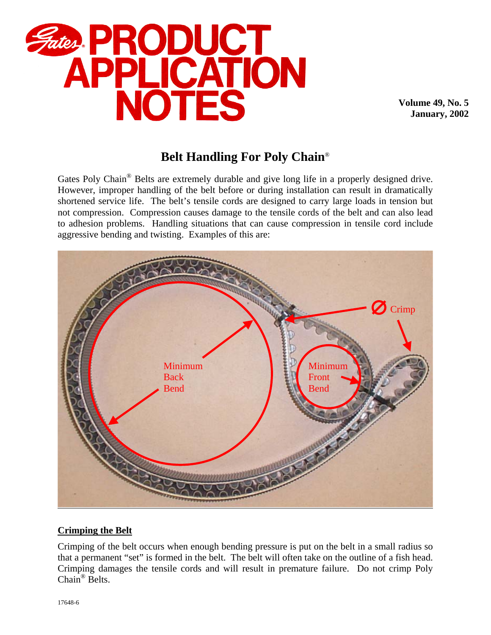

**Volume 49, No. 5 January, 2002**

# **Belt Handling For Poly Chain**®

Gates Poly Chain<sup>®</sup> Belts are extremely durable and give long life in a properly designed drive. However, improper handling of the belt before or during installation can result in dramatically shortened service life. The belt's tensile cords are designed to carry large loads in tension but not compression. Compression causes damage to the tensile cords of the belt and can also lead to adhesion problems. Handling situations that can cause compression in tensile cord include aggressive bending and twisting. Examples of this are:



## **Crimping the Belt**

Crimping of the belt occurs when enough bending pressure is put on the belt in a small radius so that a permanent "set" is formed in the belt. The belt will often take on the outline of a fish head. Crimping damages the tensile cords and will result in premature failure. Do not crimp Poly Chain® Belts.